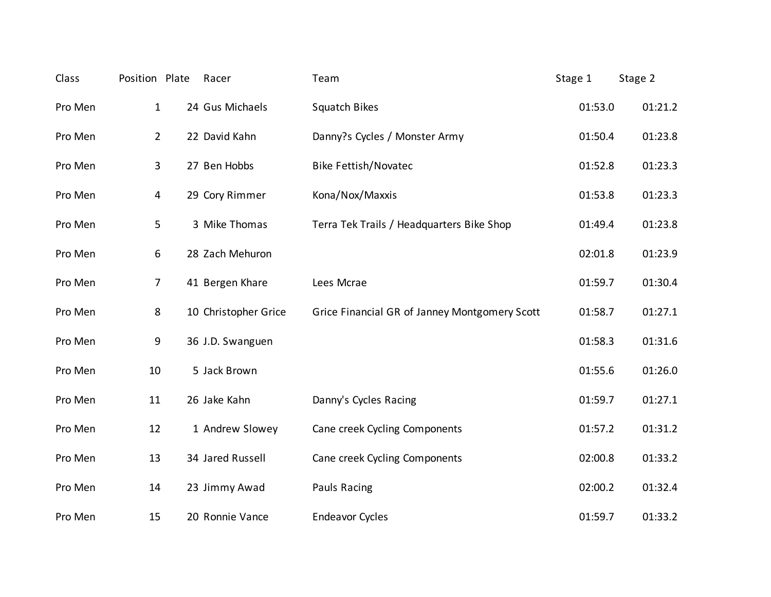| Class   | Position Plate | Racer                | Team                                          | Stage 1 | Stage 2 |
|---------|----------------|----------------------|-----------------------------------------------|---------|---------|
| Pro Men | $\mathbf 1$    | 24 Gus Michaels      | <b>Squatch Bikes</b>                          | 01:53.0 | 01:21.2 |
| Pro Men | $\overline{2}$ | 22 David Kahn        | Danny?s Cycles / Monster Army                 | 01:50.4 | 01:23.8 |
| Pro Men | 3              | 27 Ben Hobbs         | <b>Bike Fettish/Novatec</b>                   | 01:52.8 | 01:23.3 |
| Pro Men | 4              | 29 Cory Rimmer       | Kona/Nox/Maxxis                               | 01:53.8 | 01:23.3 |
| Pro Men | 5              | 3 Mike Thomas        | Terra Tek Trails / Headquarters Bike Shop     | 01:49.4 | 01:23.8 |
| Pro Men | 6              | 28 Zach Mehuron      |                                               | 02:01.8 | 01:23.9 |
| Pro Men | $\overline{7}$ | 41 Bergen Khare      | Lees Mcrae                                    | 01:59.7 | 01:30.4 |
| Pro Men | 8              | 10 Christopher Grice | Grice Financial GR of Janney Montgomery Scott | 01:58.7 | 01:27.1 |
| Pro Men | 9              | 36 J.D. Swanguen     |                                               | 01:58.3 | 01:31.6 |
| Pro Men | 10             | 5 Jack Brown         |                                               | 01:55.6 | 01:26.0 |
| Pro Men | 11             | 26 Jake Kahn         | Danny's Cycles Racing                         | 01:59.7 | 01:27.1 |
| Pro Men | 12             | 1 Andrew Slowey      | Cane creek Cycling Components                 | 01:57.2 | 01:31.2 |
| Pro Men | 13             | 34 Jared Russell     | Cane creek Cycling Components                 | 02:00.8 | 01:33.2 |
| Pro Men | 14             | 23 Jimmy Awad        | Pauls Racing                                  | 02:00.2 | 01:32.4 |
| Pro Men | 15             | 20 Ronnie Vance      | <b>Endeavor Cycles</b>                        | 01:59.7 | 01:33.2 |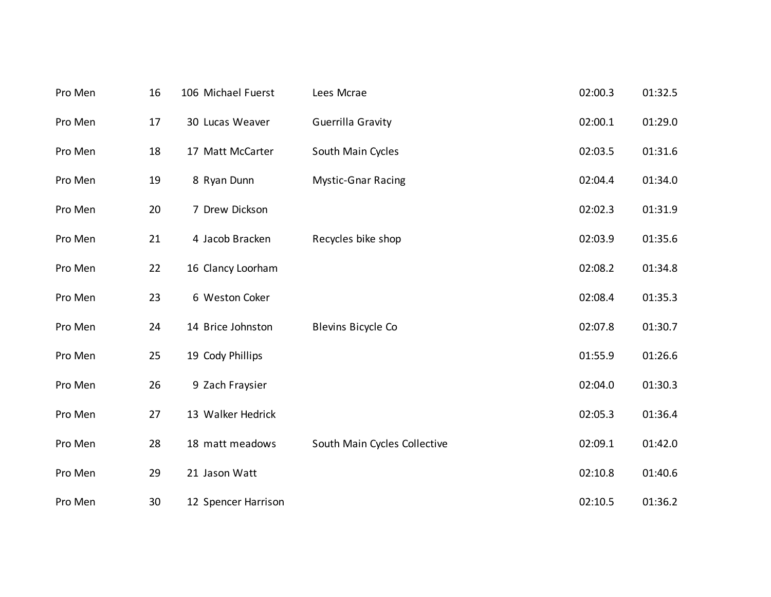| Pro Men | 16 | 106 Michael Fuerst  | Lees Mcrae                   | 02:00.3 | 01:32.5 |
|---------|----|---------------------|------------------------------|---------|---------|
| Pro Men | 17 | 30 Lucas Weaver     | Guerrilla Gravity            | 02:00.1 | 01:29.0 |
| Pro Men | 18 | 17 Matt McCarter    | South Main Cycles            | 02:03.5 | 01:31.6 |
| Pro Men | 19 | 8 Ryan Dunn         | <b>Mystic-Gnar Racing</b>    | 02:04.4 | 01:34.0 |
| Pro Men | 20 | 7 Drew Dickson      |                              | 02:02.3 | 01:31.9 |
| Pro Men | 21 | 4 Jacob Bracken     | Recycles bike shop           | 02:03.9 | 01:35.6 |
| Pro Men | 22 | 16 Clancy Loorham   |                              | 02:08.2 | 01:34.8 |
| Pro Men | 23 | 6 Weston Coker      |                              | 02:08.4 | 01:35.3 |
| Pro Men | 24 | 14 Brice Johnston   | Blevins Bicycle Co           | 02:07.8 | 01:30.7 |
| Pro Men | 25 | 19 Cody Phillips    |                              | 01:55.9 | 01:26.6 |
| Pro Men | 26 | 9 Zach Fraysier     |                              | 02:04.0 | 01:30.3 |
| Pro Men | 27 | 13 Walker Hedrick   |                              | 02:05.3 | 01:36.4 |
| Pro Men | 28 | 18 matt meadows     | South Main Cycles Collective | 02:09.1 | 01:42.0 |
| Pro Men | 29 | 21 Jason Watt       |                              | 02:10.8 | 01:40.6 |
| Pro Men | 30 | 12 Spencer Harrison |                              | 02:10.5 | 01:36.2 |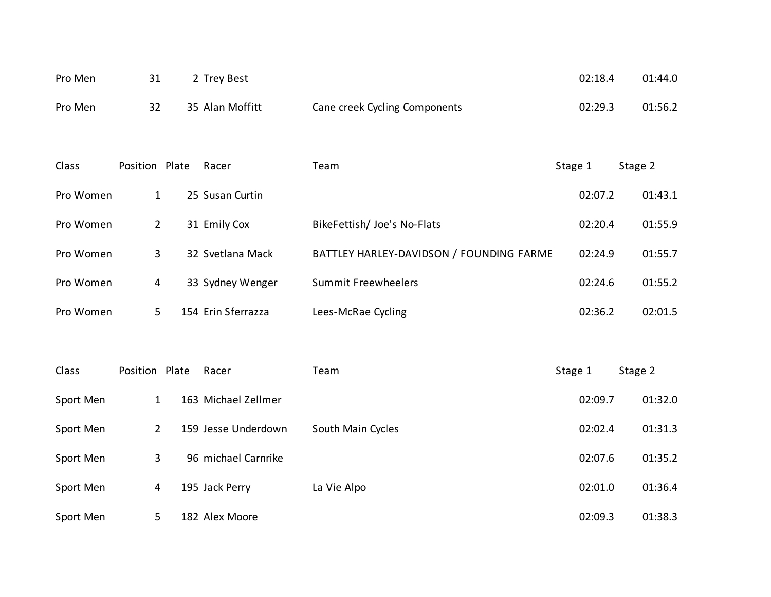| Pro Men |    | 2 Trey Best     |                               | 02:18.4 | 01:44.0 |
|---------|----|-----------------|-------------------------------|---------|---------|
| Pro Men | 32 | 35 Alan Moffitt | Cane creek Cycling Components | 02:29.3 | 01:56.2 |

| Class     | Position Plate | Racer              | Team                                     | Stage 1 | Stage 2 |
|-----------|----------------|--------------------|------------------------------------------|---------|---------|
| Pro Women | 1              | 25 Susan Curtin    |                                          | 02:07.2 | 01:43.1 |
| Pro Women | 2              | 31 Emily Cox       | BikeFettish/ Joe's No-Flats              | 02:20.4 | 01:55.9 |
| Pro Women | 3              | 32 Svetlana Mack   | BATTLEY HARLEY-DAVIDSON / FOUNDING FARME | 02:24.9 | 01:55.7 |
| Pro Women | 4              | 33 Sydney Wenger   | <b>Summit Freewheelers</b>               | 02:24.6 | 01:55.2 |
| Pro Women | 5.             | 154 Erin Sferrazza | Lees-McRae Cycling                       | 02:36.2 | 02:01.5 |

| Class     | Position Plate | Racer               | Team              | Stage 1 | Stage 2 |
|-----------|----------------|---------------------|-------------------|---------|---------|
| Sport Men | 1              | 163 Michael Zellmer |                   | 02:09.7 | 01:32.0 |
| Sport Men | 2              | 159 Jesse Underdown | South Main Cycles | 02:02.4 | 01:31.3 |
| Sport Men | 3              | 96 michael Carnrike |                   | 02:07.6 | 01:35.2 |
| Sport Men | 4              | 195 Jack Perry      | La Vie Alpo       | 02:01.0 | 01:36.4 |
| Sport Men | 5              | 182 Alex Moore      |                   | 02:09.3 | 01:38.3 |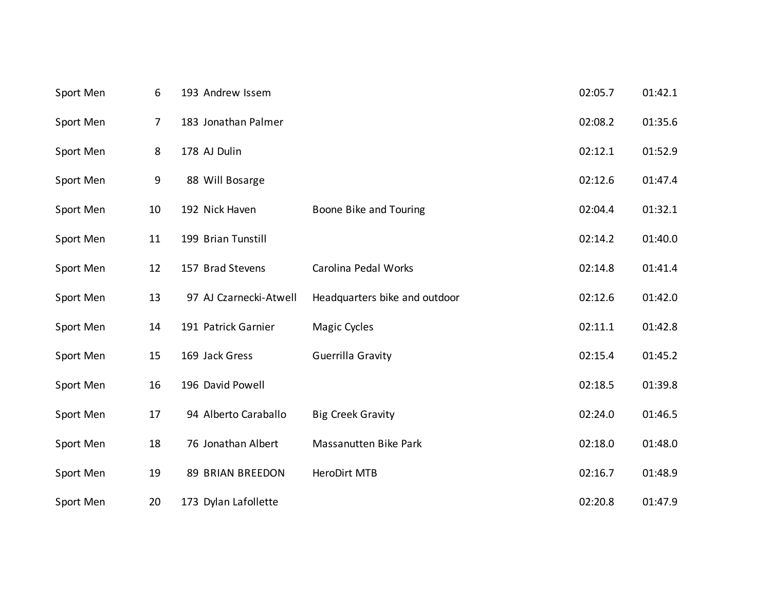| Sport Men | 6              | 193 Andrew Issem       |                               | 02:05.7 | 01:42.1 |
|-----------|----------------|------------------------|-------------------------------|---------|---------|
| Sport Men | $\overline{7}$ | 183 Jonathan Palmer    |                               | 02:08.2 | 01:35.6 |
| Sport Men | 8              | 178 AJ Dulin           |                               | 02:12.1 | 01:52.9 |
| Sport Men | 9              | 88 Will Bosarge        |                               | 02:12.6 | 01:47.4 |
| Sport Men | 10             | 192 Nick Haven         | Boone Bike and Touring        | 02:04.4 | 01:32.1 |
| Sport Men | 11             | 199 Brian Tunstill     |                               | 02:14.2 | 01:40.0 |
| Sport Men | 12             | 157 Brad Stevens       | Carolina Pedal Works          | 02:14.8 | 01:41.4 |
| Sport Men | 13             | 97 AJ Czarnecki-Atwell | Headquarters bike and outdoor | 02:12.6 | 01:42.0 |
| Sport Men | 14             | 191 Patrick Garnier    | Magic Cycles                  | 02:11.1 | 01:42.8 |
| Sport Men | 15             | 169 Jack Gress         | Guerrilla Gravity             | 02:15.4 | 01:45.2 |
| Sport Men | 16             | 196 David Powell       |                               | 02:18.5 | 01:39.8 |
| Sport Men | 17             | 94 Alberto Caraballo   | <b>Big Creek Gravity</b>      | 02:24.0 | 01:46.5 |
| Sport Men | 18             | 76 Jonathan Albert     | <b>Massanutten Bike Park</b>  | 02:18.0 | 01:48.0 |
| Sport Men | 19             | 89 BRIAN BREEDON       | HeroDirt MTB                  | 02:16.7 | 01:48.9 |
| Sport Men | 20             | 173 Dylan Lafollette   |                               | 02:20.8 | 01:47.9 |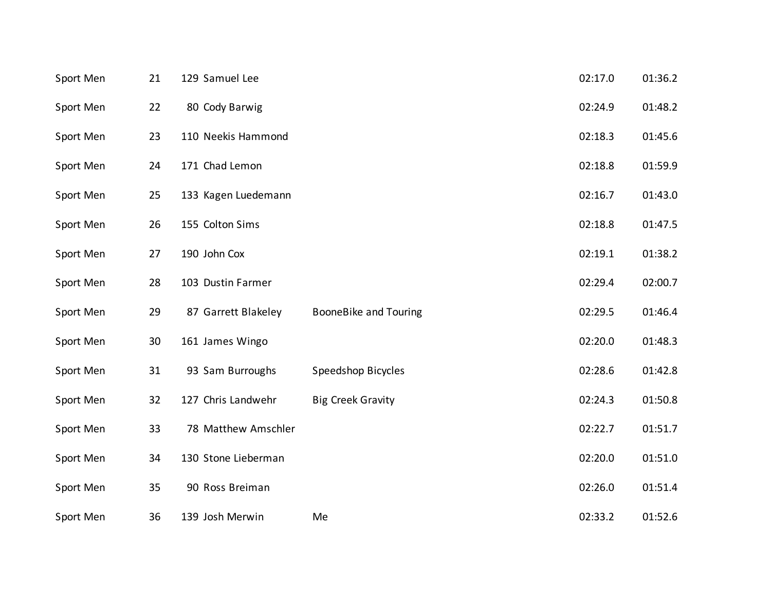| Sport Men | 21 | 129 Samuel Lee      |                              | 02:17.0 | 01:36.2 |
|-----------|----|---------------------|------------------------------|---------|---------|
| Sport Men | 22 | 80 Cody Barwig      |                              | 02:24.9 | 01:48.2 |
| Sport Men | 23 | 110 Neekis Hammond  |                              | 02:18.3 | 01:45.6 |
| Sport Men | 24 | 171 Chad Lemon      |                              | 02:18.8 | 01:59.9 |
| Sport Men | 25 | 133 Kagen Luedemann |                              | 02:16.7 | 01:43.0 |
| Sport Men | 26 | 155 Colton Sims     |                              | 02:18.8 | 01:47.5 |
| Sport Men | 27 | 190 John Cox        |                              | 02:19.1 | 01:38.2 |
| Sport Men | 28 | 103 Dustin Farmer   |                              | 02:29.4 | 02:00.7 |
| Sport Men | 29 | 87 Garrett Blakeley | <b>BooneBike and Touring</b> | 02:29.5 | 01:46.4 |
| Sport Men | 30 | 161 James Wingo     |                              | 02:20.0 | 01:48.3 |
| Sport Men | 31 | 93 Sam Burroughs    | Speedshop Bicycles           | 02:28.6 | 01:42.8 |
| Sport Men | 32 | 127 Chris Landwehr  | <b>Big Creek Gravity</b>     | 02:24.3 | 01:50.8 |
| Sport Men | 33 | 78 Matthew Amschler |                              | 02:22.7 | 01:51.7 |
| Sport Men | 34 | 130 Stone Lieberman |                              | 02:20.0 | 01:51.0 |
| Sport Men | 35 | 90 Ross Breiman     |                              | 02:26.0 | 01:51.4 |
| Sport Men | 36 | 139 Josh Merwin     | Me                           | 02:33.2 | 01:52.6 |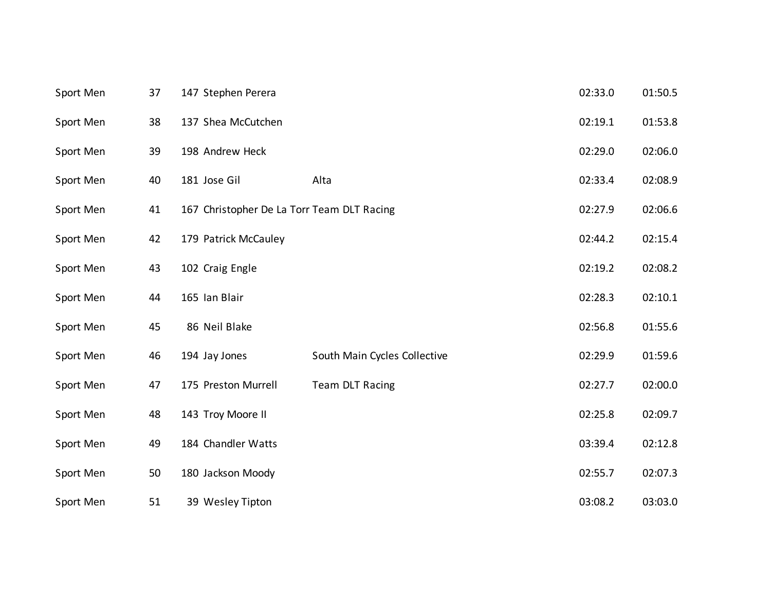| Sport Men | 37 | 147 Stephen Perera                         |                              | 02:33.0 | 01:50.5 |
|-----------|----|--------------------------------------------|------------------------------|---------|---------|
| Sport Men | 38 | 137 Shea McCutchen                         |                              | 02:19.1 | 01:53.8 |
| Sport Men | 39 | 198 Andrew Heck                            |                              | 02:29.0 | 02:06.0 |
| Sport Men | 40 | 181 Jose Gil                               | Alta                         | 02:33.4 | 02:08.9 |
| Sport Men | 41 | 167 Christopher De La Torr Team DLT Racing |                              | 02:27.9 | 02:06.6 |
| Sport Men | 42 | 179 Patrick McCauley                       |                              | 02:44.2 | 02:15.4 |
| Sport Men | 43 | 102 Craig Engle                            |                              | 02:19.2 | 02:08.2 |
| Sport Men | 44 | 165 Ian Blair                              |                              | 02:28.3 | 02:10.1 |
| Sport Men | 45 | 86 Neil Blake                              |                              | 02:56.8 | 01:55.6 |
| Sport Men | 46 | 194 Jay Jones                              | South Main Cycles Collective | 02:29.9 | 01:59.6 |
| Sport Men | 47 | 175 Preston Murrell                        | Team DLT Racing              | 02:27.7 | 02:00.0 |
| Sport Men | 48 | 143 Troy Moore II                          |                              | 02:25.8 | 02:09.7 |
| Sport Men | 49 | 184 Chandler Watts                         |                              | 03:39.4 | 02:12.8 |
| Sport Men | 50 | 180 Jackson Moody                          |                              | 02:55.7 | 02:07.3 |
| Sport Men | 51 | 39 Wesley Tipton                           |                              | 03:08.2 | 03:03.0 |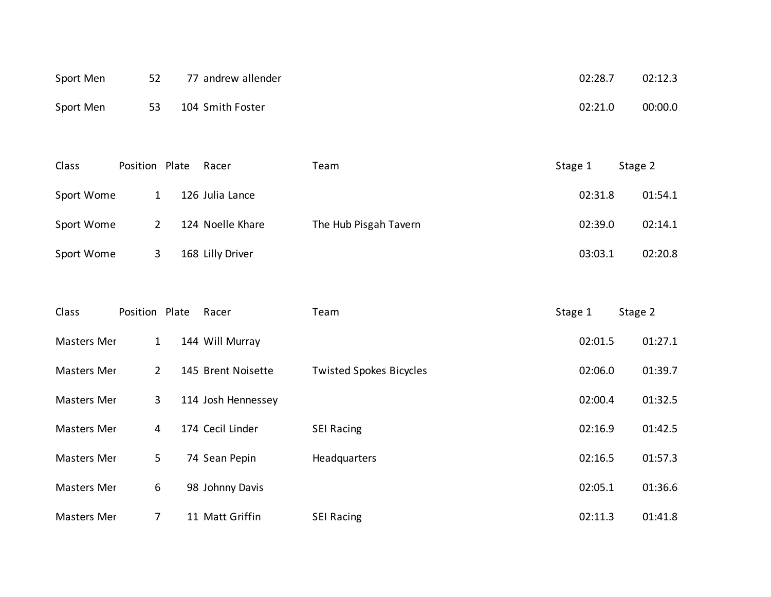| Sport Men | 52 | 77 andrew allender | 02:28.7 | 02:12.3 |
|-----------|----|--------------------|---------|---------|
| Sport Men | 53 | 104 Smith Foster   | 02:21.0 | 00:00.0 |

| Class      | Position Plate | Racer            | Team                  | Stage 1 | Stage 2 |
|------------|----------------|------------------|-----------------------|---------|---------|
| Sport Wome | 1              | 126 Julia Lance  |                       | 02:31.8 | 01:54.1 |
| Sport Wome | 2              | 124 Noelle Khare | The Hub Pisgah Tavern | 02:39.0 | 02:14.1 |
| Sport Wome | 3              | 168 Lilly Driver |                       | 03:03.1 | 02:20.8 |

| Class              | Position Plate | Racer              | Team                           | Stage 1 | Stage 2 |
|--------------------|----------------|--------------------|--------------------------------|---------|---------|
| Masters Mer        | 1              | 144 Will Murray    |                                | 02:01.5 | 01:27.1 |
| Masters Mer        | $\overline{2}$ | 145 Brent Noisette | <b>Twisted Spokes Bicycles</b> | 02:06.0 | 01:39.7 |
| Masters Mer        | 3              | 114 Josh Hennessey |                                | 02:00.4 | 01:32.5 |
| Masters Mer        | 4              | 174 Cecil Linder   | <b>SEI Racing</b>              | 02:16.9 | 01:42.5 |
| Masters Mer        | 5              | 74 Sean Pepin      | Headquarters                   | 02:16.5 | 01:57.3 |
| Masters Mer        | 6              | 98 Johnny Davis    |                                | 02:05.1 | 01:36.6 |
| <b>Masters Mer</b> | 7              | 11 Matt Griffin    | <b>SEI Racing</b>              | 02:11.3 | 01:41.8 |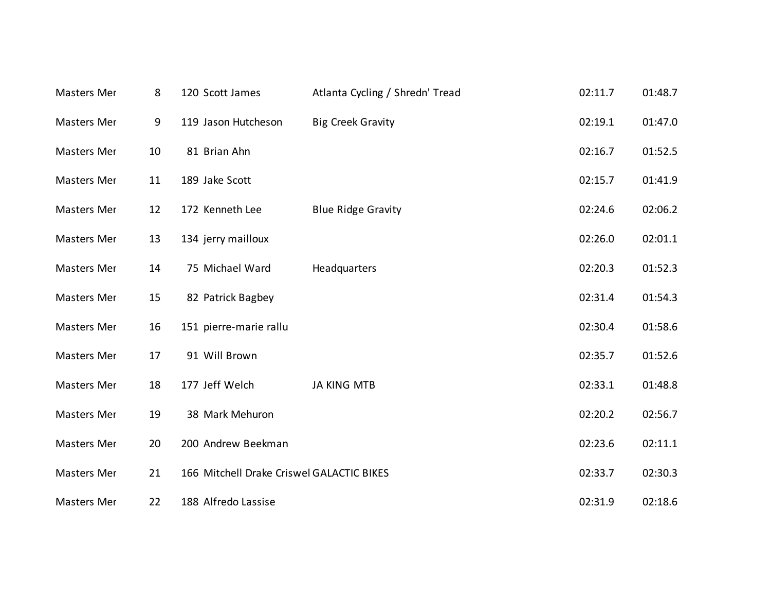| Masters Mer | 8  | 120 Scott James                           | Atlanta Cycling / Shredn' Tread | 02:11.7 | 01:48.7 |
|-------------|----|-------------------------------------------|---------------------------------|---------|---------|
| Masters Mer | 9  | 119 Jason Hutcheson                       | <b>Big Creek Gravity</b>        | 02:19.1 | 01:47.0 |
| Masters Mer | 10 | 81 Brian Ahn                              |                                 | 02:16.7 | 01:52.5 |
| Masters Mer | 11 | 189 Jake Scott                            |                                 | 02:15.7 | 01:41.9 |
| Masters Mer | 12 | 172 Kenneth Lee                           | <b>Blue Ridge Gravity</b>       | 02:24.6 | 02:06.2 |
| Masters Mer | 13 | 134 jerry mailloux                        |                                 | 02:26.0 | 02:01.1 |
| Masters Mer | 14 | 75 Michael Ward                           | Headquarters                    | 02:20.3 | 01:52.3 |
| Masters Mer | 15 | 82 Patrick Bagbey                         |                                 | 02:31.4 | 01:54.3 |
| Masters Mer | 16 | 151 pierre-marie rallu                    |                                 | 02:30.4 | 01:58.6 |
| Masters Mer | 17 | 91 Will Brown                             |                                 | 02:35.7 | 01:52.6 |
| Masters Mer | 18 | 177 Jeff Welch                            | <b>JA KING MTB</b>              | 02:33.1 | 01:48.8 |
| Masters Mer | 19 | 38 Mark Mehuron                           |                                 | 02:20.2 | 02:56.7 |
| Masters Mer | 20 | 200 Andrew Beekman                        |                                 | 02:23.6 | 02:11.1 |
| Masters Mer | 21 | 166 Mitchell Drake Criswel GALACTIC BIKES |                                 | 02:33.7 | 02:30.3 |
| Masters Mer | 22 | 188 Alfredo Lassise                       |                                 | 02:31.9 | 02:18.6 |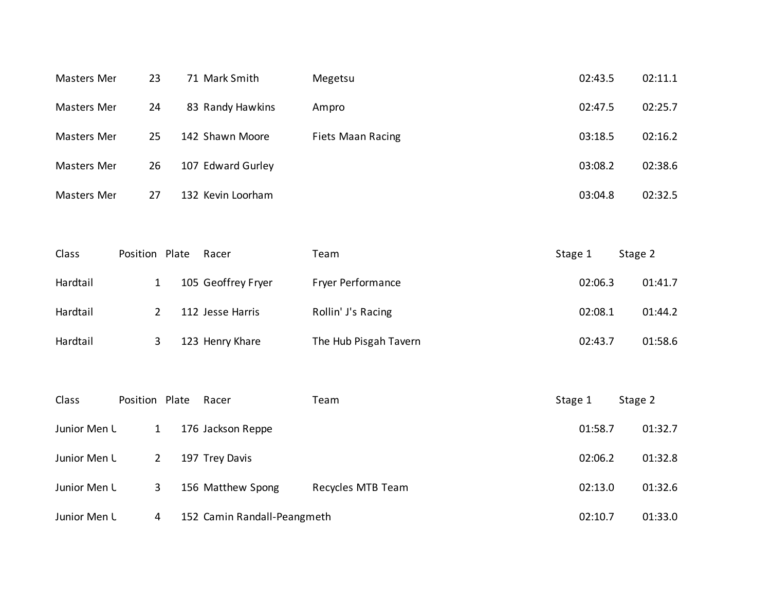| Masters Mer | 23 | 71 Mark Smith     | Megetsu                  | 02:43.5 | 02:11.1 |
|-------------|----|-------------------|--------------------------|---------|---------|
| Masters Mer | 24 | 83 Randy Hawkins  | Ampro                    | 02:47.5 | 02:25.7 |
| Masters Mer | 25 | 142 Shawn Moore   | <b>Fiets Maan Racing</b> | 03:18.5 | 02:16.2 |
| Masters Mer | 26 | 107 Edward Gurley |                          | 03:08.2 | 02:38.6 |
| Masters Mer | 27 | 132 Kevin Loorham |                          | 03:04.8 | 02:32.5 |

| Class    | Position Plate | Racer              | Team                     | Stage 1<br>Stage 2 |
|----------|----------------|--------------------|--------------------------|--------------------|
| Hardtail |                | 105 Geoffrey Fryer | <b>Fryer Performance</b> | 02:06.3<br>01:41.7 |
| Hardtail |                | 112 Jesse Harris   | Rollin' J's Racing       | 02:08.1<br>01:44.2 |
| Hardtail |                | 123 Henry Khare    | The Hub Pisgah Tavern    | 02:43.7<br>01:58.6 |

| Class        | Position Plate | Racer                       | Team              | Stage 1 | Stage 2 |
|--------------|----------------|-----------------------------|-------------------|---------|---------|
| Junior Men L | 1              | 176 Jackson Reppe           |                   | 01:58.7 | 01:32.7 |
| Junior Men L | 2              | 197 Trey Davis              |                   | 02:06.2 | 01:32.8 |
| Junior Men L | 3              | 156 Matthew Spong           | Recycles MTB Team | 02:13.0 | 01:32.6 |
| Junior Men L | 4              | 152 Camin Randall-Peangmeth |                   | 02:10.7 | 01:33.0 |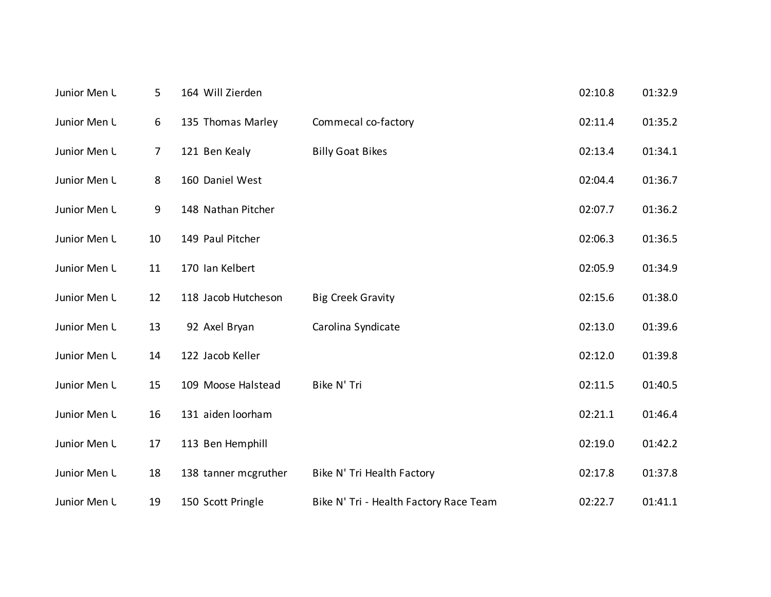| Junior Men L | 5              | 164 Will Zierden     |                                        | 02:10.8 | 01:32.9 |
|--------------|----------------|----------------------|----------------------------------------|---------|---------|
| Junior Men L | 6              | 135 Thomas Marley    | Commecal co-factory                    | 02:11.4 | 01:35.2 |
| Junior Men L | $\overline{7}$ | 121 Ben Kealy        | <b>Billy Goat Bikes</b>                | 02:13.4 | 01:34.1 |
| Junior Men L | 8              | 160 Daniel West      |                                        | 02:04.4 | 01:36.7 |
| Junior Men L | 9              | 148 Nathan Pitcher   |                                        | 02:07.7 | 01:36.2 |
| Junior Men L | 10             | 149 Paul Pitcher     |                                        | 02:06.3 | 01:36.5 |
| Junior Men L | 11             | 170 Ian Kelbert      |                                        | 02:05.9 | 01:34.9 |
| Junior Men L | 12             | 118 Jacob Hutcheson  | <b>Big Creek Gravity</b>               | 02:15.6 | 01:38.0 |
| Junior Men L | 13             | 92 Axel Bryan        | Carolina Syndicate                     | 02:13.0 | 01:39.6 |
| Junior Men L | 14             | 122 Jacob Keller     |                                        | 02:12.0 | 01:39.8 |
| Junior Men L | 15             | 109 Moose Halstead   | Bike N' Tri                            | 02:11.5 | 01:40.5 |
| Junior Men L | 16             | 131 aiden loorham    |                                        | 02:21.1 | 01:46.4 |
| Junior Men L | 17             | 113 Ben Hemphill     |                                        | 02:19.0 | 01:42.2 |
| Junior Men L | 18             | 138 tanner mcgruther | Bike N' Tri Health Factory             | 02:17.8 | 01:37.8 |
| Junior Men L | 19             | 150 Scott Pringle    | Bike N' Tri - Health Factory Race Team | 02:22.7 | 01:41.1 |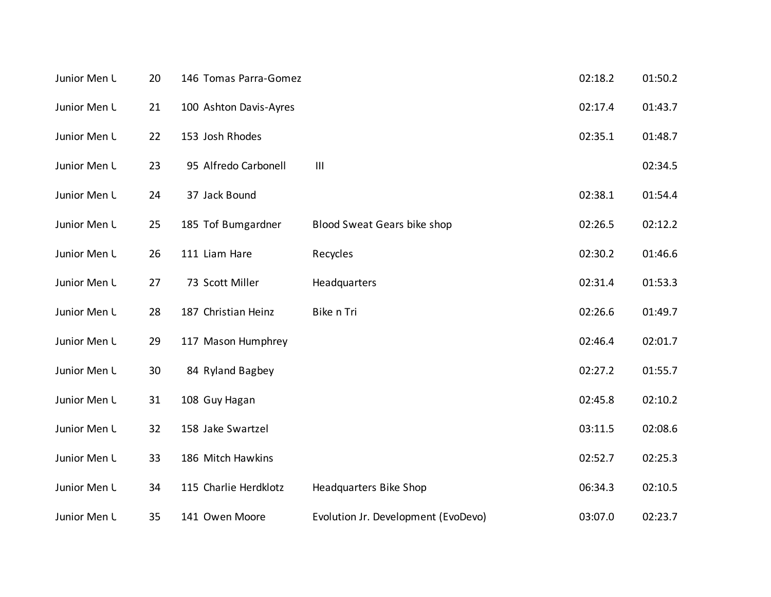| Junior Men L | 20 | 146 Tomas Parra-Gomez  |                                     | 02:18.2 | 01:50.2 |
|--------------|----|------------------------|-------------------------------------|---------|---------|
| Junior Men L | 21 | 100 Ashton Davis-Ayres |                                     | 02:17.4 | 01:43.7 |
| Junior Men L | 22 | 153 Josh Rhodes        |                                     | 02:35.1 | 01:48.7 |
| Junior Men L | 23 | 95 Alfredo Carbonell   | $\mathbf{III}$                      |         | 02:34.5 |
| Junior Men L | 24 | 37 Jack Bound          |                                     | 02:38.1 | 01:54.4 |
| Junior Men L | 25 | 185 Tof Bumgardner     | Blood Sweat Gears bike shop         | 02:26.5 | 02:12.2 |
| Junior Men L | 26 | 111 Liam Hare          | Recycles                            | 02:30.2 | 01:46.6 |
| Junior Men L | 27 | 73 Scott Miller        | Headquarters                        | 02:31.4 | 01:53.3 |
| Junior Men L | 28 | 187 Christian Heinz    | Bike n Tri                          | 02:26.6 | 01:49.7 |
| Junior Men L | 29 | 117 Mason Humphrey     |                                     | 02:46.4 | 02:01.7 |
| Junior Men L | 30 | 84 Ryland Bagbey       |                                     | 02:27.2 | 01:55.7 |
| Junior Men L | 31 | 108 Guy Hagan          |                                     | 02:45.8 | 02:10.2 |
| Junior Men L | 32 | 158 Jake Swartzel      |                                     | 03:11.5 | 02:08.6 |
| Junior Men L | 33 | 186 Mitch Hawkins      |                                     | 02:52.7 | 02:25.3 |
| Junior Men L | 34 | 115 Charlie Herdklotz  | Headquarters Bike Shop              | 06:34.3 | 02:10.5 |
| Junior Men L | 35 | 141 Owen Moore         | Evolution Jr. Development (EvoDevo) | 03:07.0 | 02:23.7 |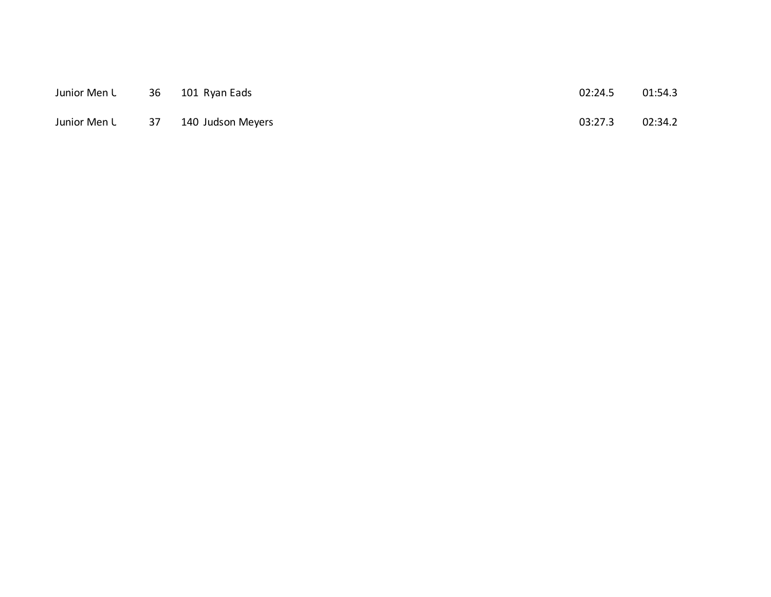| Junior Men L | - 36 | 101 Ryan Eads                     | 02:24.5 | 01:54.3 |
|--------------|------|-----------------------------------|---------|---------|
|              |      | Junior Men L 37 140 Judson Meyers | 03:27.3 | 02:34.2 |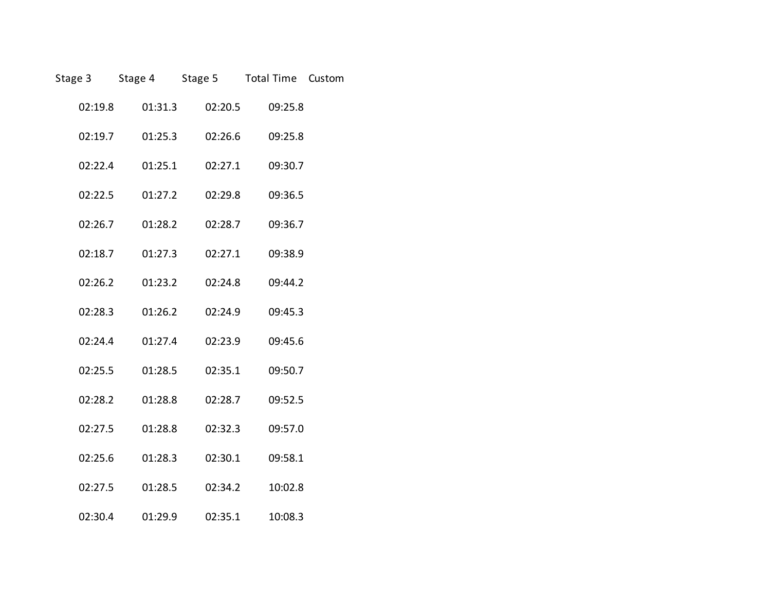|         |         | Stage 3 Stage 4 Stage 5 Total Time Custom |         |  |
|---------|---------|-------------------------------------------|---------|--|
| 02:19.8 | 01:31.3 | 02:20.5                                   | 09:25.8 |  |
| 02:19.7 | 01:25.3 | 02:26.6                                   | 09:25.8 |  |
| 02:22.4 | 01:25.1 | 02:27.1                                   | 09:30.7 |  |
| 02:22.5 | 01:27.2 | 02:29.8                                   | 09:36.5 |  |
| 02:26.7 | 01:28.2 | 02:28.7                                   | 09:36.7 |  |
| 02:18.7 | 01:27.3 | 02:27.1                                   | 09:38.9 |  |
| 02:26.2 | 01:23.2 | 02:24.8                                   | 09:44.2 |  |
| 02:28.3 | 01:26.2 | 02:24.9                                   | 09:45.3 |  |
| 02:24.4 | 01:27.4 | 02:23.9                                   | 09:45.6 |  |
| 02:25.5 | 01:28.5 | 02:35.1                                   | 09:50.7 |  |
| 02:28.2 | 01:28.8 | 02:28.7                                   | 09:52.5 |  |
| 02:27.5 | 01:28.8 | 02:32.3                                   | 09:57.0 |  |
| 02:25.6 | 01:28.3 | 02:30.1                                   | 09:58.1 |  |
| 02:27.5 | 01:28.5 | 02:34.2                                   | 10:02.8 |  |
| 02:30.4 | 01:29.9 | 02:35.1                                   | 10:08.3 |  |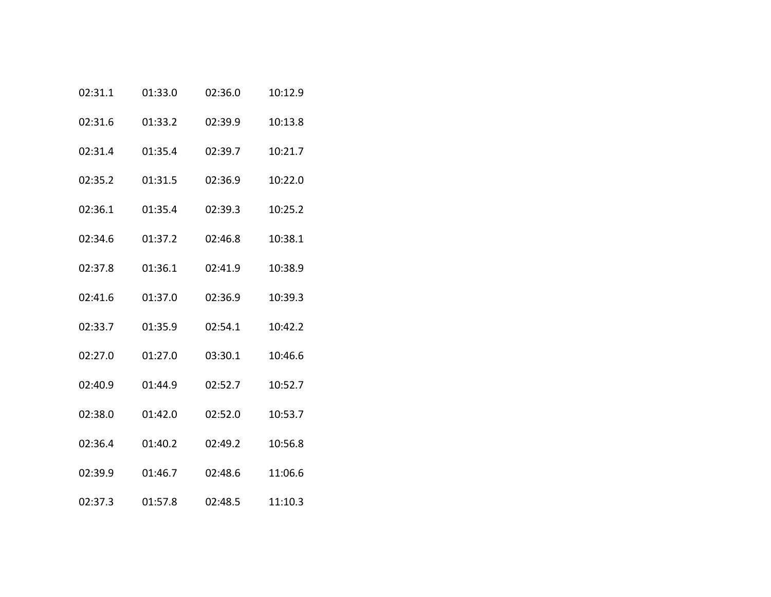| 02:31.1 | 01:33.0 | 02:36.0 | 10:12.9 |
|---------|---------|---------|---------|
| 02:31.6 | 01:33.2 | 02:39.9 | 10:13.8 |
| 02:31.4 | 01:35.4 | 02:39.7 | 10:21.7 |
| 02:35.2 | 01:31.5 | 02:36.9 | 10:22.0 |
| 02:36.1 | 01:35.4 | 02:39.3 | 10:25.2 |
| 02:34.6 | 01:37.2 | 02:46.8 | 10:38.1 |
| 02:37.8 | 01:36.1 | 02:41.9 | 10:38.9 |
| 02:41.6 | 01:37.0 | 02:36.9 | 10:39.3 |
| 02:33.7 | 01:35.9 | 02:54.1 | 10:42.2 |
| 02:27.0 | 01:27.0 | 03:30.1 | 10:46.6 |
| 02:40.9 | 01:44.9 | 02:52.7 | 10:52.7 |
| 02:38.0 | 01:42.0 | 02:52.0 | 10:53.7 |
| 02:36.4 | 01:40.2 | 02:49.2 | 10:56.8 |
| 02:39.9 | 01:46.7 | 02:48.6 | 11:06.6 |
| 02:37.3 | 01:57.8 | 02:48.5 | 11:10.3 |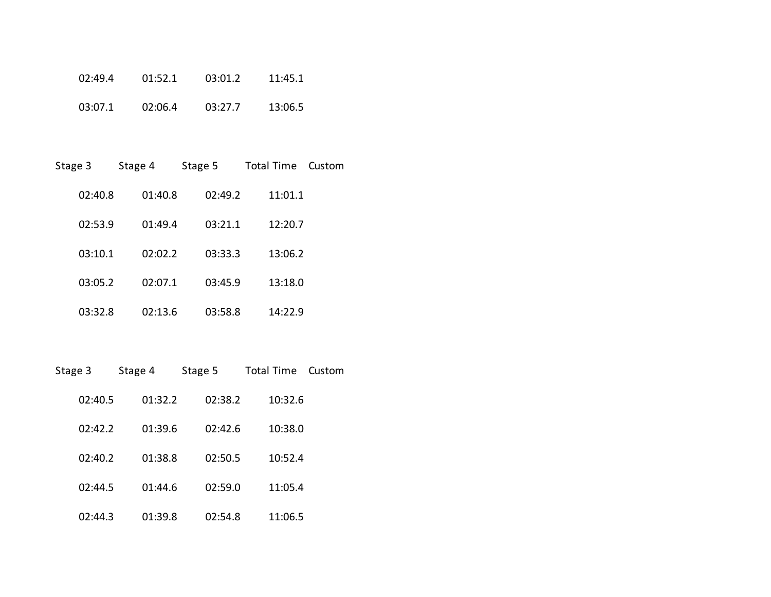| 02:49.4 | 01:52.1 | 03:01.2 | 11:45.1 |
|---------|---------|---------|---------|
| 03:07.1 | 02:06.4 | 03:27.7 | 13:06.5 |

| Stage 3 | Stage 4 | Stage 5 | <b>Total Time</b> | Custom |
|---------|---------|---------|-------------------|--------|
| 02:40.8 | 01:40.8 | 02:49.2 | 11:01.1           |        |
| 02:53.9 | 01:49.4 | 03:21.1 | 12:20.7           |        |
| 03:10.1 | 02:02.2 | 03:33.3 | 13:06.2           |        |
| 03:05.2 | 02:07.1 | 03:45.9 | 13:18.0           |        |
| 03:32.8 | 02:13.6 | 03:58.8 | 14:22.9           |        |

| Stage 3 | Stage 4 | Stage 5 | <b>Total Time</b> | Custom |
|---------|---------|---------|-------------------|--------|
| 02:40.5 | 01:32.2 | 02:38.2 | 10:32.6           |        |
| 02:42.2 | 01:39.6 | 02:42.6 | 10:38.0           |        |
| 02:40.2 | 01:38.8 | 02:50.5 | 10:52.4           |        |
| 02:44.5 | 01:44.6 | 02:59.0 | 11:05.4           |        |
| 02:44.3 | 01:39.8 | 02:54.8 | 11:06.5           |        |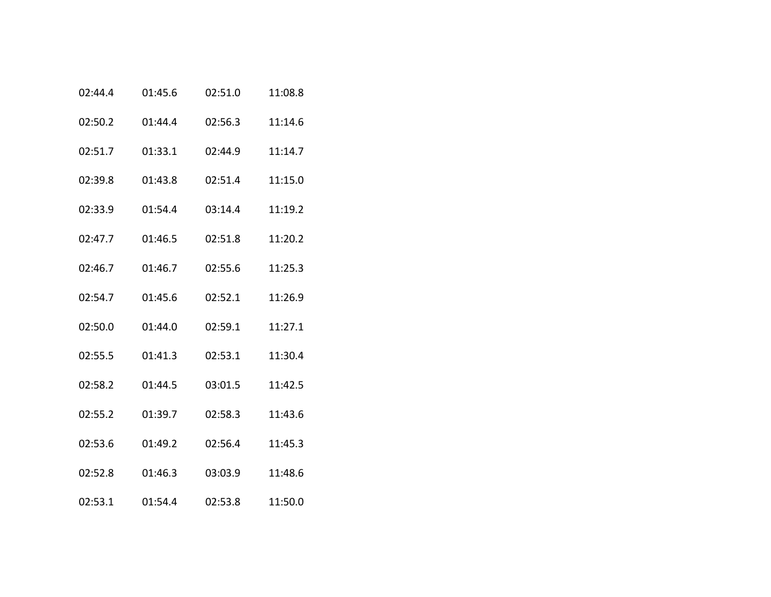| 02:44.4 | 01:45.6 | 02:51.0 | 11:08.8 |
|---------|---------|---------|---------|
| 02:50.2 | 01:44.4 | 02:56.3 | 11:14.6 |
| 02:51.7 | 01:33.1 | 02:44.9 | 11:14.7 |
| 02:39.8 | 01:43.8 | 02:51.4 | 11:15.0 |
| 02:33.9 | 01:54.4 | 03:14.4 | 11:19.2 |
| 02:47.7 | 01:46.5 | 02:51.8 | 11:20.2 |
| 02:46.7 | 01:46.7 | 02:55.6 | 11:25.3 |
| 02:54.7 | 01:45.6 | 02:52.1 | 11:26.9 |
| 02:50.0 | 01:44.0 | 02:59.1 | 11:27.1 |
| 02:55.5 | 01:41.3 | 02:53.1 | 11:30.4 |
| 02:58.2 | 01:44.5 | 03:01.5 | 11:42.5 |
| 02:55.2 | 01:39.7 | 02:58.3 | 11:43.6 |
| 02:53.6 | 01:49.2 | 02:56.4 | 11:45.3 |
| 02:52.8 | 01:46.3 | 03:03.9 | 11:48.6 |
| 02:53.1 | 01:54.4 | 02:53.8 | 11:50.0 |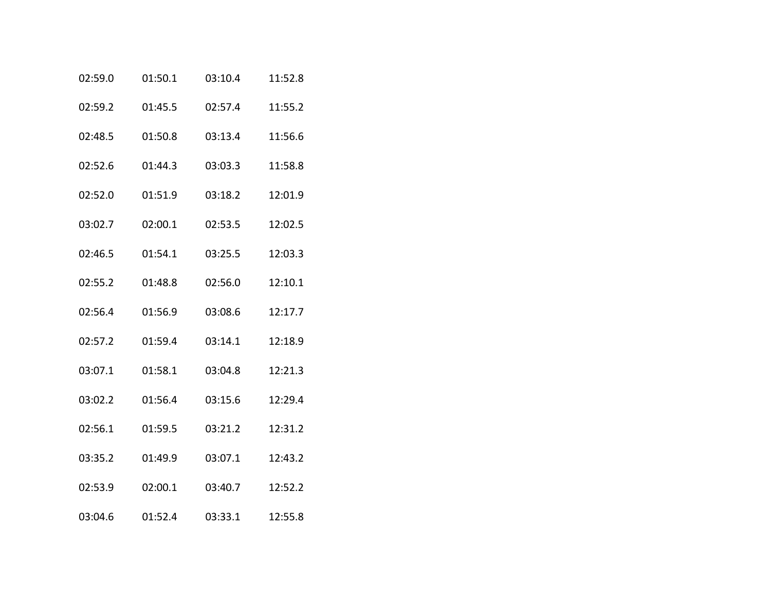| 02:59.0 | 01:50.1 | 03:10.4 | 11:52.8 |
|---------|---------|---------|---------|
| 02:59.2 | 01:45.5 | 02:57.4 | 11:55.2 |
| 02:48.5 | 01:50.8 | 03:13.4 | 11:56.6 |
| 02:52.6 | 01:44.3 | 03:03.3 | 11:58.8 |
| 02:52.0 | 01:51.9 | 03:18.2 | 12:01.9 |
| 03:02.7 | 02:00.1 | 02:53.5 | 12:02.5 |
| 02:46.5 | 01:54.1 | 03:25.5 | 12:03.3 |
| 02:55.2 | 01:48.8 | 02:56.0 | 12:10.1 |
| 02:56.4 | 01:56.9 | 03:08.6 | 12:17.7 |
| 02:57.2 | 01:59.4 | 03:14.1 | 12:18.9 |
| 03:07.1 | 01:58.1 | 03:04.8 | 12:21.3 |
| 03:02.2 | 01:56.4 | 03:15.6 | 12:29.4 |
| 02:56.1 | 01:59.5 | 03:21.2 | 12:31.2 |
| 03:35.2 | 01:49.9 | 03:07.1 | 12:43.2 |
| 02:53.9 | 02:00.1 | 03:40.7 | 12:52.2 |
| 03:04.6 | 01:52.4 | 03:33.1 | 12:55.8 |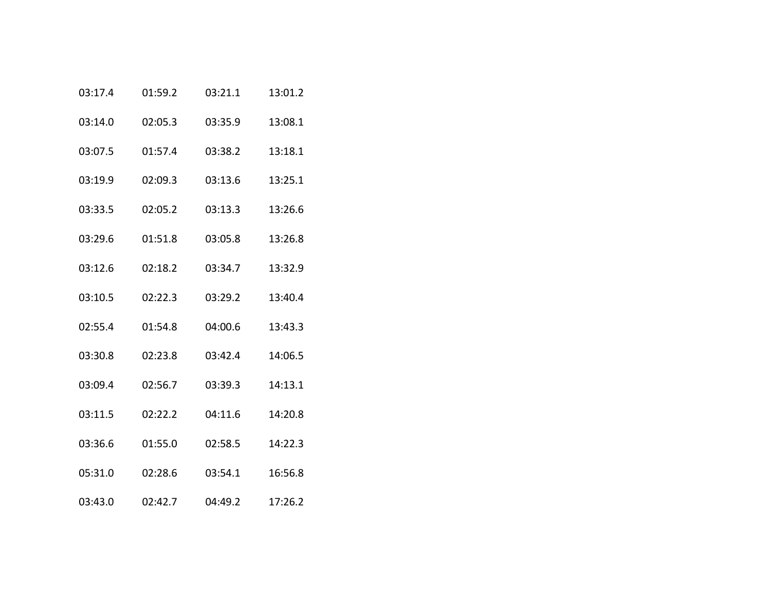| 03:17.4 | 01:59.2 | 03:21.1 | 13:01.2 |
|---------|---------|---------|---------|
| 03:14.0 | 02:05.3 | 03:35.9 | 13:08.1 |
| 03:07.5 | 01:57.4 | 03:38.2 | 13:18.1 |
| 03:19.9 | 02:09.3 | 03:13.6 | 13:25.1 |
| 03:33.5 | 02:05.2 | 03:13.3 | 13:26.6 |
| 03:29.6 | 01:51.8 | 03:05.8 | 13:26.8 |
| 03:12.6 | 02:18.2 | 03:34.7 | 13:32.9 |
| 03:10.5 | 02:22.3 | 03:29.2 | 13:40.4 |
| 02:55.4 | 01:54.8 | 04:00.6 | 13:43.3 |
| 03:30.8 | 02:23.8 | 03:42.4 | 14:06.5 |
| 03:09.4 | 02:56.7 | 03:39.3 | 14:13.1 |
| 03:11.5 | 02:22.2 | 04:11.6 | 14:20.8 |
| 03:36.6 | 01:55.0 | 02:58.5 | 14:22.3 |
| 05:31.0 | 02:28.6 | 03:54.1 | 16:56.8 |
| 03:43.0 | 02:42.7 | 04:49.2 | 17:26.2 |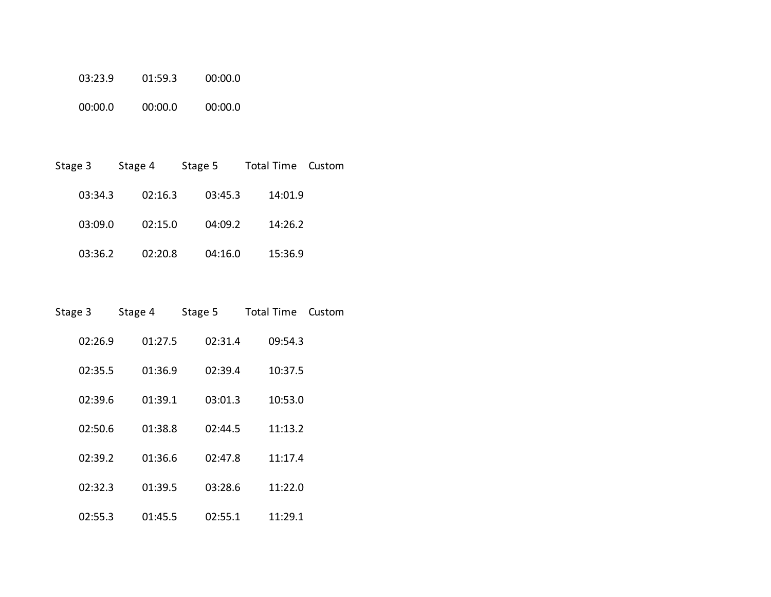| 03:23.9 | 01:59.3 | 00:00.0 |
|---------|---------|---------|
| 0.0010  | 00:00.0 | 00:00.0 |

| Stage 3 | Stage 4 | Stage 5 | Total Time | Custom |
|---------|---------|---------|------------|--------|
| 03:34.3 | 02:16.3 | 03:45.3 | 14:01.9    |        |
| 03:09.0 | 02:15.0 | 04:09.2 | 14:26.2    |        |
| 03:36.2 | 02:20.8 | 04:16.0 | 15:36.9    |        |

| Stage 3 | Stage 4 | Stage 5 | <b>Total Time</b> | Custom |
|---------|---------|---------|-------------------|--------|
| 02:26.9 | 01:27.5 | 02:31.4 | 09:54.3           |        |
| 02:35.5 | 01:36.9 | 02:39.4 | 10:37.5           |        |
| 02:39.6 | 01:39.1 | 03:01.3 | 10:53.0           |        |
| 02:50.6 | 01:38.8 | 02:44.5 | 11:13.2           |        |
| 02:39.2 | 01:36.6 | 02:47.8 | 11:17.4           |        |
| 02:32.3 | 01:39.5 | 03:28.6 | 11:22.0           |        |
| 02:55.3 | 01:45.5 | 02:55.1 | 11:29.1           |        |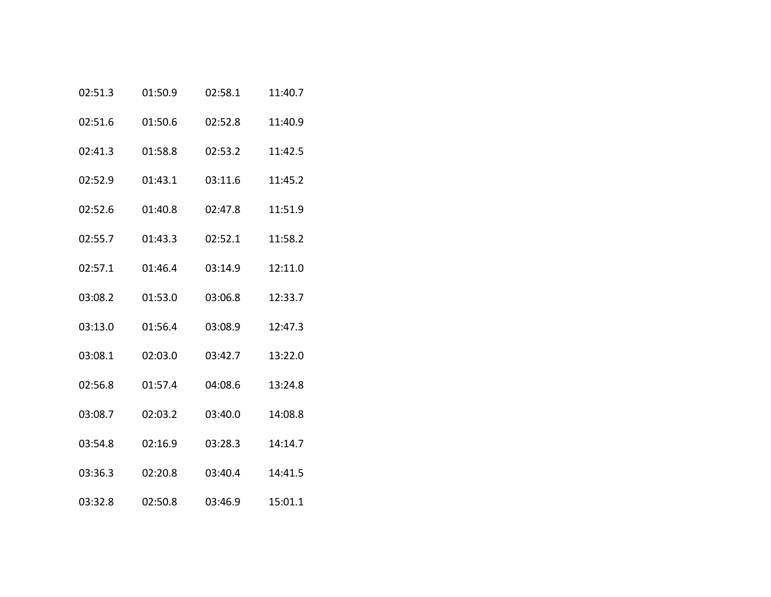| 02:51.3 | 01:50.9 | 02:58.1 | 11:40.7 |
|---------|---------|---------|---------|
| 02:51.6 | 01:50.6 | 02:52.8 | 11:40.9 |
| 02:41.3 | 01:58.8 | 02:53.2 | 11:42.5 |
| 02:52.9 | 01:43.1 | 03:11.6 | 11:45.2 |
| 02:52.6 | 01:40.8 | 02:47.8 | 11:51.9 |
| 02:55.7 | 01:43.3 | 02:52.1 | 11:58.2 |
| 02:57.1 | 01:46.4 | 03:14.9 | 12:11.0 |
| 03:08.2 | 01:53.0 | 03:06.8 | 12:33.7 |
| 03:13.0 | 01:56.4 | 03:08.9 | 12:47.3 |
| 03:08.1 | 02:03.0 | 03:42.7 | 13:22.0 |
| 02:56.8 | 01:57.4 | 04:08.6 | 13:24.8 |
| 03:08.7 | 02:03.2 | 03:40.0 | 14:08.8 |
| 03:54.8 | 02:16.9 | 03:28.3 | 14:14.7 |
| 03:36.3 | 02:20.8 | 03:40.4 | 14:41.5 |
| 03:32.8 | 02:50.8 | 03:46.9 | 15:01.1 |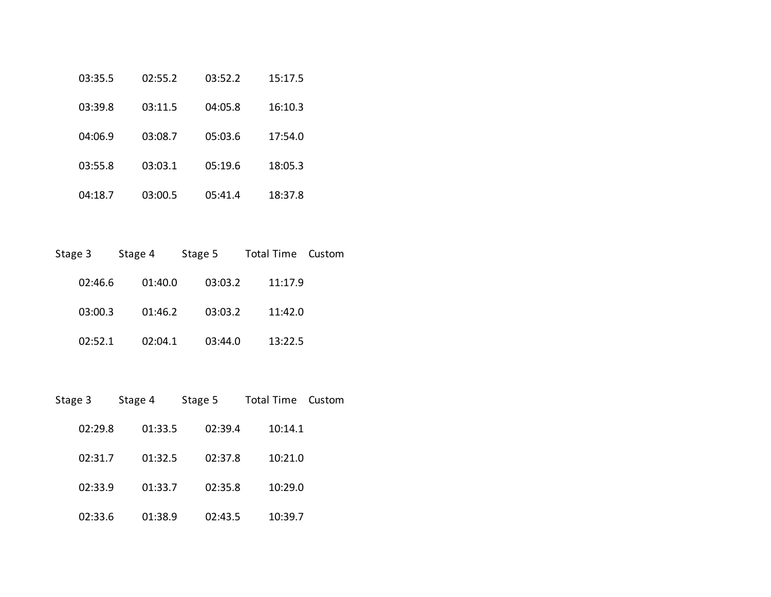| 03:35.5 | 02:55.2 | 03:52.2 | 15:17.5 |
|---------|---------|---------|---------|
| 03:39.8 | 03:11.5 | 04:05.8 | 16:10.3 |
| 04:06.9 | 03:08.7 | 05:03.6 | 17:54.0 |
| 03:55.8 | 03:03.1 | 05:19.6 | 18:05.3 |
| 04:18.7 | 03:00.5 | 05:41.4 | 18:37.8 |

| Stage 3 | Stage 4 | Stage 5 | Total Time Custom |  |
|---------|---------|---------|-------------------|--|
| 02:46.6 | 01:40.0 | 03:03.2 | 11:17.9           |  |
| 03:00.3 | 01:46.2 | 03:03.2 | 11:42.0           |  |
| 02:52.1 | 02:04.1 | 03:44.0 | 13:22.5           |  |

| Stage 3 | Stage 4 | Stage 5 | <b>Total Time</b> | Custom |
|---------|---------|---------|-------------------|--------|
| 02:29.8 | 01:33.5 | 02:39.4 | 10:14.1           |        |
| 02:31.7 | 01:32.5 | 02:37.8 | 10:21.0           |        |
| 02:33.9 | 01:33.7 | 02:35.8 | 10:29.0           |        |
| 02:33.6 | 01:38.9 | 02:43.5 | 10:39.7           |        |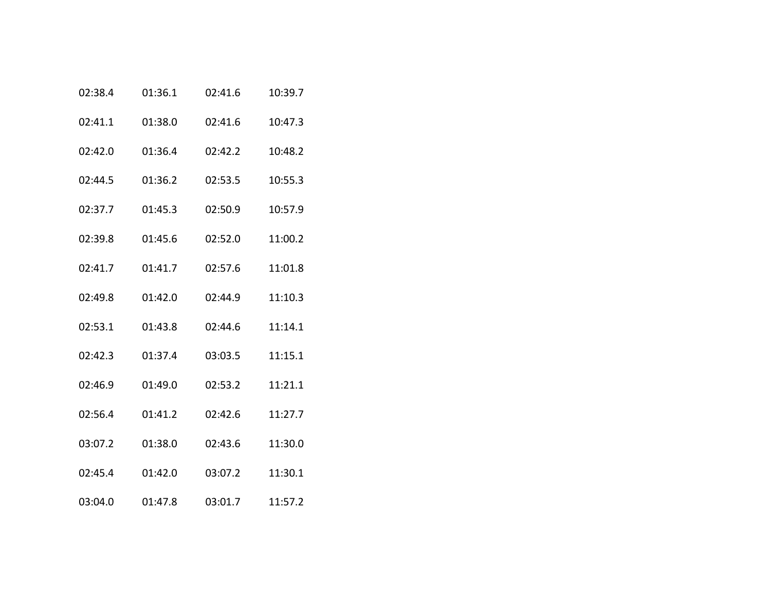| 02:38.4 | 01:36.1 | 02:41.6 | 10:39.7 |
|---------|---------|---------|---------|
| 02:41.1 | 01:38.0 | 02:41.6 | 10:47.3 |
| 02:42.0 | 01:36.4 | 02:42.2 | 10:48.2 |
| 02:44.5 | 01:36.2 | 02:53.5 | 10:55.3 |
| 02:37.7 | 01:45.3 | 02:50.9 | 10:57.9 |
| 02:39.8 | 01:45.6 | 02:52.0 | 11:00.2 |
| 02:41.7 | 01:41.7 | 02:57.6 | 11:01.8 |
| 02:49.8 | 01:42.0 | 02:44.9 | 11:10.3 |
| 02:53.1 | 01:43.8 | 02:44.6 | 11:14.1 |
| 02:42.3 | 01:37.4 | 03:03.5 | 11:15.1 |
| 02:46.9 | 01:49.0 | 02:53.2 | 11:21.1 |
| 02:56.4 | 01:41.2 | 02:42.6 | 11:27.7 |
| 03:07.2 | 01:38.0 | 02:43.6 | 11:30.0 |
| 02:45.4 | 01:42.0 | 03:07.2 | 11:30.1 |
| 03:04.0 | 01:47.8 | 03:01.7 | 11:57.2 |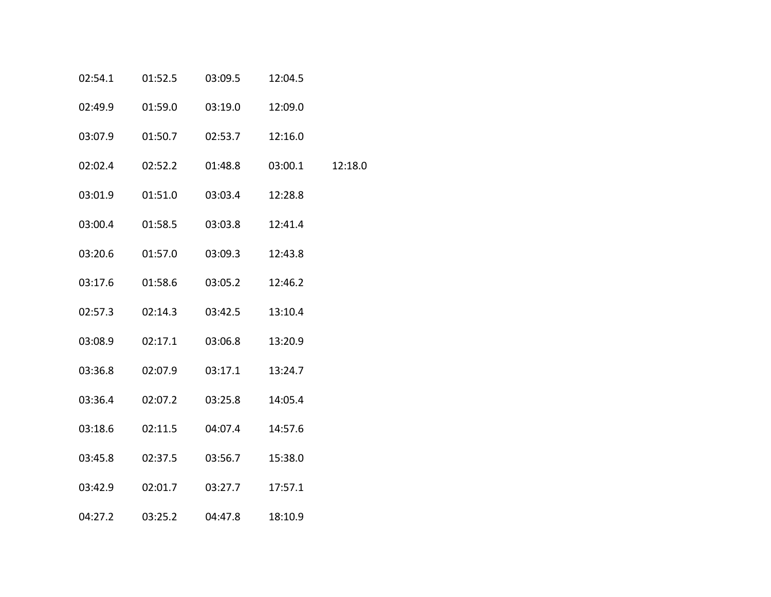| 02:54.1 | 01:52.5 | 03:09.5 | 12:04.5 |         |
|---------|---------|---------|---------|---------|
| 02:49.9 | 01:59.0 | 03:19.0 | 12:09.0 |         |
| 03:07.9 | 01:50.7 | 02:53.7 | 12:16.0 |         |
| 02:02.4 | 02:52.2 | 01:48.8 | 03:00.1 | 12:18.0 |
| 03:01.9 | 01:51.0 | 03:03.4 | 12:28.8 |         |
| 03:00.4 | 01:58.5 | 03:03.8 | 12:41.4 |         |
| 03:20.6 | 01:57.0 | 03:09.3 | 12:43.8 |         |
| 03:17.6 | 01:58.6 | 03:05.2 | 12:46.2 |         |
| 02:57.3 | 02:14.3 | 03:42.5 | 13:10.4 |         |
| 03:08.9 | 02:17.1 | 03:06.8 | 13:20.9 |         |
| 03:36.8 | 02:07.9 | 03:17.1 | 13:24.7 |         |
| 03:36.4 | 02:07.2 | 03:25.8 | 14:05.4 |         |
| 03:18.6 | 02:11.5 | 04:07.4 | 14:57.6 |         |
| 03:45.8 | 02:37.5 | 03:56.7 | 15:38.0 |         |
| 03:42.9 | 02:01.7 | 03:27.7 | 17:57.1 |         |
| 04:27.2 | 03:25.2 | 04:47.8 | 18:10.9 |         |